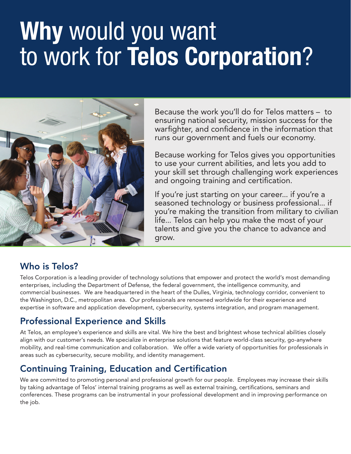# **Why** would you want to work for **Telos Corporation**?



Because the work you'll do for Telos matters – to ensuring national security, mission success for the warfighter, and confidence in the information that runs our government and fuels our economy.

Because working for Telos gives you opportunities to use your current abilities, and lets you add to your skill set through challenging work experiences and ongoing training and certification.

If you're just starting on your career... if you're a seasoned technology or business professional... if you're making the transition from military to civilian life... Telos can help you make the most of your talents and give you the chance to advance and grow.

#### Who is Telos?

Telos Corporation is a leading provider of technology solutions that empower and protect the world's most demanding enterprises, including the Department of Defense, the federal government, the intelligence community, and commercial businesses. We are headquartered in the heart of the Dulles, Virginia, technology corridor, convenient to the Washington, D.C., metropolitan area. Our professionals are renowned worldwide for their experience and expertise in software and application development, cybersecurity, systems integration, and program management.

## Professional Experience and Skills

At Telos, an employee's experience and skills are vital. We hire the best and brightest whose technical abilities closely align with our customer's needs. We specialize in enterprise solutions that feature world-class security, go-anywhere mobility, and real-time communication and collaboration. We offer a wide variety of opportunities for professionals in areas such as cybersecurity, secure mobility, and identity management.

## Continuing Training, Education and Certification

We are committed to promoting personal and professional growth for our people. Employees may increase their skills by taking advantage of Telos' internal training programs as well as external training, certifications, seminars and conferences. These programs can be instrumental in your professional development and in improving performance on the job.